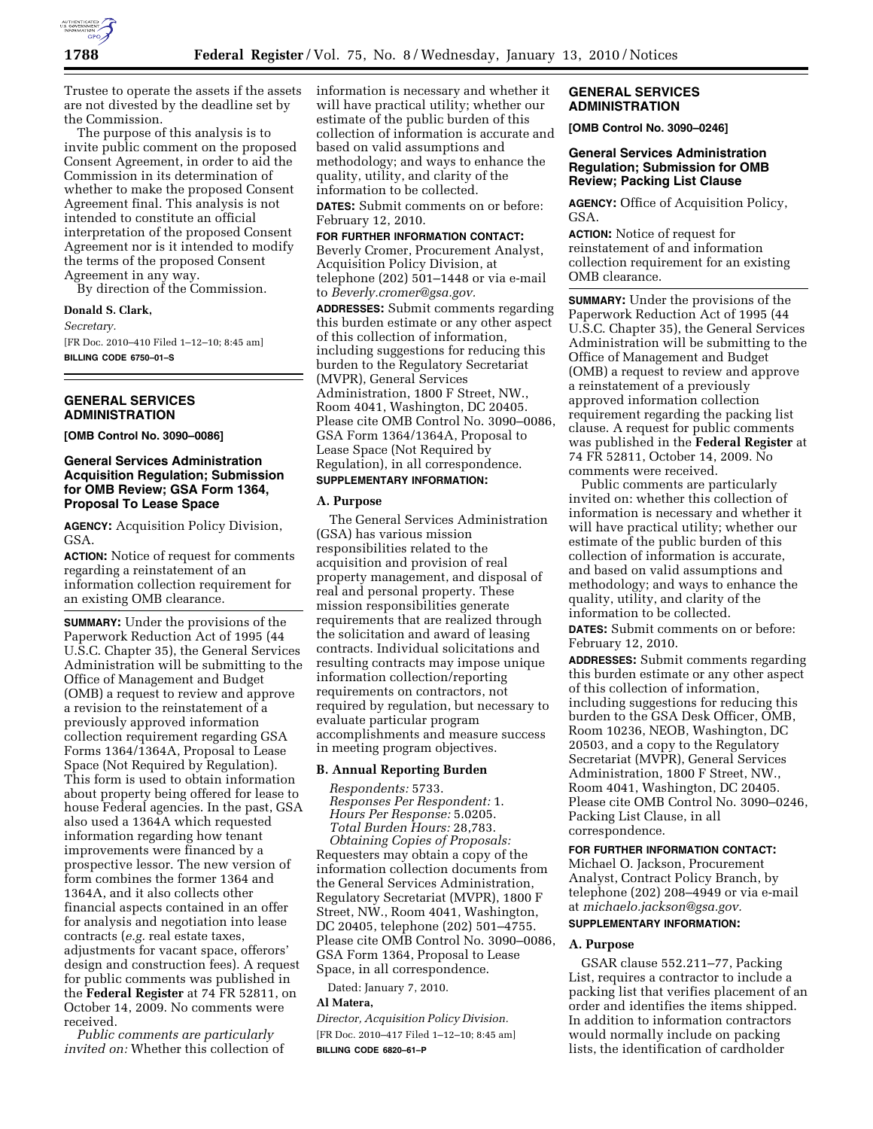

Trustee to operate the assets if the assets are not divested by the deadline set by the Commission.

The purpose of this analysis is to invite public comment on the proposed Consent Agreement, in order to aid the Commission in its determination of whether to make the proposed Consent Agreement final. This analysis is not intended to constitute an official interpretation of the proposed Consent Agreement nor is it intended to modify the terms of the proposed Consent Agreement in any way.

By direction of the Commission.

### **Donald S. Clark,**

*Secretary.* 

[FR Doc. 2010–410 Filed 1–12–10; 8:45 am] **BILLING CODE 6750–01–S** 

## **GENERAL SERVICES ADMINISTRATION**

**[OMB Control No. 3090–0086]** 

## **General Services Administration Acquisition Regulation; Submission for OMB Review; GSA Form 1364, Proposal To Lease Space**

**AGENCY:** Acquisition Policy Division, GSA.

**ACTION:** Notice of request for comments regarding a reinstatement of an information collection requirement for an existing OMB clearance.

**SUMMARY:** Under the provisions of the Paperwork Reduction Act of 1995 (44 U.S.C. Chapter 35), the General Services Administration will be submitting to the Office of Management and Budget (OMB) a request to review and approve a revision to the reinstatement of a previously approved information collection requirement regarding GSA Forms 1364/1364A, Proposal to Lease Space (Not Required by Regulation). This form is used to obtain information about property being offered for lease to house Federal agencies. In the past, GSA also used a 1364A which requested information regarding how tenant improvements were financed by a prospective lessor. The new version of form combines the former 1364 and 1364A, and it also collects other financial aspects contained in an offer for analysis and negotiation into lease contracts (*e.g.* real estate taxes, adjustments for vacant space, offerors' design and construction fees). A request for public comments was published in the **Federal Register** at 74 FR 52811, on October 14, 2009. No comments were received.

*Public comments are particularly invited on:* Whether this collection of information is necessary and whether it will have practical utility; whether our estimate of the public burden of this collection of information is accurate and based on valid assumptions and methodology; and ways to enhance the quality, utility, and clarity of the information to be collected.

**DATES:** Submit comments on or before: February 12, 2010.

#### **FOR FURTHER INFORMATION CONTACT:**

Beverly Cromer, Procurement Analyst, Acquisition Policy Division, at telephone (202) 501–1448 or via e-mail to *Beverly.cromer@gsa.gov.* 

**ADDRESSES:** Submit comments regarding this burden estimate or any other aspect of this collection of information, including suggestions for reducing this burden to the Regulatory Secretariat (MVPR), General Services Administration, 1800 F Street, NW., Room 4041, Washington, DC 20405. Please cite OMB Control No. 3090–0086, GSA Form 1364/1364A, Proposal to Lease Space (Not Required by Regulation), in all correspondence. **SUPPLEMENTARY INFORMATION:** 

## **A. Purpose**

The General Services Administration (GSA) has various mission responsibilities related to the acquisition and provision of real property management, and disposal of real and personal property. These mission responsibilities generate requirements that are realized through the solicitation and award of leasing contracts. Individual solicitations and resulting contracts may impose unique information collection/reporting requirements on contractors, not required by regulation, but necessary to evaluate particular program accomplishments and measure success in meeting program objectives.

## **B. Annual Reporting Burden**

*Respondents:* 5733. *Responses Per Respondent:* 1. *Hours Per Response:* 5.0205. *Total Burden Hours:* 28,783. *Obtaining Copies of Proposals:*  Requesters may obtain a copy of the information collection documents from the General Services Administration, Regulatory Secretariat (MVPR), 1800 F Street, NW., Room 4041, Washington, DC 20405, telephone (202) 501–4755. Please cite OMB Control No. 3090–0086, GSA Form 1364, Proposal to Lease Space, in all correspondence.

Dated: January 7, 2010.

### **Al Matera,**

*Director, Acquisition Policy Division.*  [FR Doc. 2010–417 Filed 1–12–10; 8:45 am] **BILLING CODE 6820–61–P** 

## **GENERAL SERVICES ADMINISTRATION**

**[OMB Control No. 3090–0246]** 

## **General Services Administration Regulation; Submission for OMB Review; Packing List Clause**

**AGENCY:** Office of Acquisition Policy, GSA.

**ACTION:** Notice of request for reinstatement of and information collection requirement for an existing OMB clearance.

**SUMMARY:** Under the provisions of the Paperwork Reduction Act of 1995 (44 U.S.C. Chapter 35), the General Services Administration will be submitting to the Office of Management and Budget (OMB) a request to review and approve a reinstatement of a previously approved information collection requirement regarding the packing list clause. A request for public comments was published in the **Federal Register** at 74 FR 52811, October 14, 2009. No comments were received.

Public comments are particularly invited on: whether this collection of information is necessary and whether it will have practical utility; whether our estimate of the public burden of this collection of information is accurate, and based on valid assumptions and methodology; and ways to enhance the quality, utility, and clarity of the information to be collected.

**DATES:** Submit comments on or before: February 12, 2010.

**ADDRESSES:** Submit comments regarding this burden estimate or any other aspect of this collection of information, including suggestions for reducing this burden to the GSA Desk Officer, OMB, Room 10236, NEOB, Washington, DC 20503, and a copy to the Regulatory Secretariat (MVPR), General Services Administration, 1800 F Street, NW., Room 4041, Washington, DC 20405. Please cite OMB Control No. 3090–0246, Packing List Clause, in all correspondence.

### **FOR FURTHER INFORMATION CONTACT:**

Michael O. Jackson, Procurement Analyst, Contract Policy Branch, by telephone (202) 208–4949 or via e-mail at *michaelo.jackson@gsa.gov.*  **SUPPLEMENTARY INFORMATION:** 

### **A. Purpose**

GSAR clause 552.211–77, Packing List, requires a contractor to include a packing list that verifies placement of an order and identifies the items shipped. In addition to information contractors would normally include on packing lists, the identification of cardholder